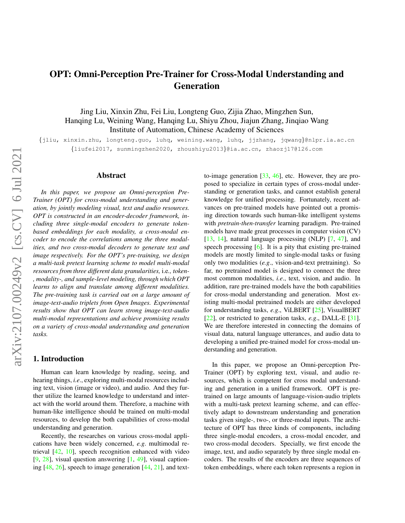# <span id="page-0-1"></span><span id="page-0-0"></span>OPT: Omni-Perception Pre-Trainer for Cross-Modal Understanding and Generation

Jing Liu, Xinxin Zhu, Fei Liu, Longteng Guo, Zijia Zhao, Mingzhen Sun, Hanqing Lu, Weining Wang, Hanqing Lu, Shiyu Zhou, Jiajun Zhang, Jinqiao Wang Institute of Automation, Chinese Academy of Sciences

{jliu, xinxin.zhu, longteng.guo, luhq, weining.wang, luhq, jjzhang, jqwang}@nlpr.ia.ac.cn {liufei2017, sunmingzhen2020, zhoushiyu2013}@ia.ac.cn, zhaozj17@126.com

### Abstract

*In this paper, we propose an Omni-perception Pre-Trainer (OPT) for cross-modal understanding and generation, by jointly modeling visual, text and audio resources. OPT is constructed in an encoder-decoder framework, including three single-modal encoders to generate tokenbased embeddings for each modality, a cross-modal encoder to encode the correlations among the three modalities, and two cross-modal decoders to generate text and image respectively. For the OPT's pre-training, we design a multi-task pretext learning scheme to model multi-modal resources from three different data granularities,* i.e*., token- , modality-, and sample-level modeling, through which OPT learns to align and translate among different modalities. The pre-training task is carried out on a large amount of image-text-audio triplets from Open Images. Experimental results show that OPT can learn strong image-text-audio multi-modal representations and achieve promising results on a variety of cross-modal understanding and generation tasks.*

# 1. Introduction

Human can learn knowledge by reading, seeing, and hearing things, *i.e*., exploring multi-modal resources including text, vision (image or video), and audio. And they further utilize the learned knowledge to understand and interact with the world around them. Therefore, a machine with human-like intelligence should be trained on multi-modal resources, to develop the both capabilities of cross-modal understanding and generation.

Recently, the researches on various cross-modal applications have been widely concerned, *e.g*. multimodal retrieval [\[42,](#page-9-0) [10\]](#page-8-0), speech recognition enhanced with video  $[9, 28]$  $[9, 28]$  $[9, 28]$ , visual question answering  $[1, 49]$  $[1, 49]$  $[1, 49]$ , visual captioning  $[48, 26]$  $[48, 26]$  $[48, 26]$ , speech to image generation  $[44, 21]$  $[44, 21]$  $[44, 21]$ , and textto-image generation [\[33,](#page-9-5) [46\]](#page-9-6), etc. However, they are proposed to specialize in certain types of cross-modal understanding or generation tasks, and cannot establish general knowledge for unified processing. Fortunately, recent advances on pre-trained models have pointed out a promising direction towards such human-like intelligent systems with *pretrain-then-transfer* learning paradigm. Pre-trained models have made great processes in computer vision (CV) [\[13,](#page-8-5) [14\]](#page-8-6), natural language processing (NLP) [\[7,](#page-8-7) [47\]](#page-9-7), and speech processing [\[6\]](#page-8-8). It is a pity that existing pre-trained models are mostly limited to single-modal tasks or fusing only two modalities (*e.g*., vision-and-text pretraining). So far, no pretrained model is designed to connect the three most common modalities, *i.e*., text, vision, and audio. In addition, rare pre-trained models have the both capabilities for cross-modal understanding and generation. Most existing multi-modal pretrained models are either developed for understanding tasks, *e.g*., ViLBERT [\[25\]](#page-8-9), VisualBERT [\[22\]](#page-8-10), or restricted to generation tasks, *e.g*., DALL-E [\[31\]](#page-9-8). We are therefore interested in connecting the domains of visual data, natural language utterances, and audio data to developing a unified pre-trained model for cross-modal understanding and generation.

In this paper, we propose an Omni-perception Pre-Trainer (OPT) by exploring text, visual, and audio resources, which is competent for cross modal understanding and generation in a unified framework. OPT is pretrained on large amounts of language-vision-audio triplets with a multi-task pretext learning scheme, and can effectively adapt to downstream understanding and generation tasks given single-, two-, or three-modal inputs. The architecture of OPT has three kinds of components, including three single-modal encoders, a cross-modal encoder, and two cross-modal decoders. Specially, we first encode the image, text, and audio separately by three single modal encoders. The results of the encoders are three sequences of token embeddings, where each token represents a region in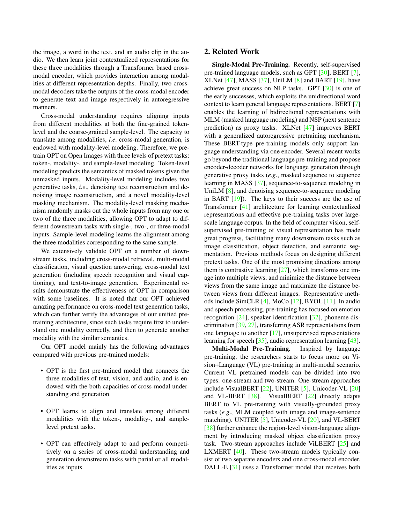<span id="page-1-0"></span>the image, a word in the text, and an audio clip in the audio. We then learn joint contextualized representations for these three modalities through a Transformer based crossmodal encoder, which provides interaction among modalities at different representation depths. Finally, two crossmodal decoders take the outputs of the cross-modal encoder to generate text and image respectively in autoregressive manners.

Cross-modal understanding requires aligning inputs from different modalities at both the fine-grained tokenlevel and the coarse-grained sample-level. The capacity to translate among modalities, *i.e*. cross-modal generation, is endowed with modality-level modeling. Therefore, we pretrain OPT on Open Images with three levels of pretext tasks: token-, modality-, and sample-level modeling. Token-level modeling predicts the semantics of masked tokens given the unmasked inputs. Modality-level modeling includes two generative tasks, *i.e*., denoising text reconstruction and denoising image reconstruction, and a novel modality-level masking mechanism. The modality-level masking mechanism randomly masks out the whole inputs from any one or two of the three modalities, allowing OPT to adapt to different downstream tasks with single-, two-, or three-modal inputs. Sample-level modeling learns the alignment among the three modalities corresponding to the same sample.

We extensively validate OPT on a number of downstream tasks, including cross-modal retrieval, multi-modal classification, visual question answering, cross-modal text generation (including speech recognition and visual captioning), and text-to-image generation. Experimental results demonstrate the effectiveness of OPT in comparison with some baselines. It is noted that our OPT achieved amazing performance on cross-model text generation tasks, which can further verify the advantages of our unified pretraining architecture, since such tasks require first to understand one modality correctly, and then to generate another modality with the similar semantics.

Our OPT model mainly has the following advantages compared with previous pre-trained models:

- OPT is the first pre-trained model that connects the three modalities of text, vision, and audio, and is endowed with the both capacities of cross-modal understanding and generation.
- OPT learns to align and translate among different modalities with the token-, modality-, and samplelevel pretext tasks.
- OPT can effectively adapt to and perform competitively on a series of cross-modal understanding and generation downstream tasks with parial or all modalities as inputs.

### 2. Related Work

Single-Modal Pre-Training. Recently, self-supervised pre-trained language models, such as GPT [\[30\]](#page-9-9), BERT [\[7\]](#page-8-7), XLNet  $[47]$ , MASS  $[37]$ , UniLM  $[8]$  and BART  $[19]$ , have achieve great success on NLP tasks. GPT [\[30\]](#page-9-9) is one of the early successes, which exploits the unidirectional word context to learn general language representations. BERT [\[7\]](#page-8-7) enables the learning of bidirectional representations with MLM (masked language modeling) and NSP (next sentence prediction) as proxy tasks. XLNet [\[47\]](#page-9-7) improves BERT with a generalized autoregressive pretraining mechanism. These BERT-type pre-training models only support language understanding via one encoder. Several recent works go beyond the traditional language pre-training and propose encoder-decoder networks for language generation through generative proxy tasks (*e.g*., masked sequence to sequence learning in MASS [\[37\]](#page-9-10), sequence-to-sequence modeling in UniLM [\[8\]](#page-8-11), and denoising sequence-to-sequence modeling in BART [\[19\]](#page-8-12)). The keys to their success are the use of Transformer [\[41\]](#page-9-11) architecture for learning contextualized representations and effective pre-training tasks over largescale language corpus. In the field of computer vision, selfsupervised pre-training of visual representation has made great progress, facilitating many downstream tasks such as image classification, object detection, and semantic segmentation. Previous methods focus on designing different pretext tasks. One of the most promising directions among them is contrastive learning  $[27]$ , which transforms one image into multiple views, and minimize the distance between views from the same image and maximize the distance between views from different images. Representative methods include SimCLR [\[4\]](#page-8-13), MoCo [\[12\]](#page-8-14), BYOL [\[11\]](#page-8-15). In audio and speech processing, pre-training has focused on emotion recognition [\[24\]](#page-8-16), speaker identification [\[32\]](#page-9-13), phoneme discrimination [\[39,](#page-9-14) [27\]](#page-9-12), transferring ASR representations from one language to another [\[17\]](#page-8-17), unsupervised representations learning for speech [\[35\]](#page-9-15), audio representation learning [\[43\]](#page-9-16).

Multi-Modal Pre-Training. Inspired by language pre-training, the researchers starts to focus more on Vision+Language (VL) pre-training in multi-modal scenario. Current VL pretrained models can be divided into two types: one-stream and two-stream. One-stream approaches include VisualBERT [\[22\]](#page-8-10), UNITER [\[5\]](#page-8-18), Unicoder-VL [\[20\]](#page-8-19) and VL-BERT [\[38\]](#page-9-17). VisualBERT [\[22\]](#page-8-10) directly adapts BERT to VL pre-training with visually-grounded proxy tasks (*e.g*., MLM coupled with image and image-sentence matching). UNITER [\[5\]](#page-8-18), Unicoder-VL [\[20\]](#page-8-19), and VL-BERT [\[38\]](#page-9-17) further enhance the region-level vision-language alignment by introducing masked object classification proxy task. Two-stream approaches include ViLBERT [\[25\]](#page-8-9) and LXMERT [\[40\]](#page-9-18). These two-stream models typically consist of two separate encoders and one cross-modal encoder. DALL-E [\[31\]](#page-9-8) uses a Transformer model that receives both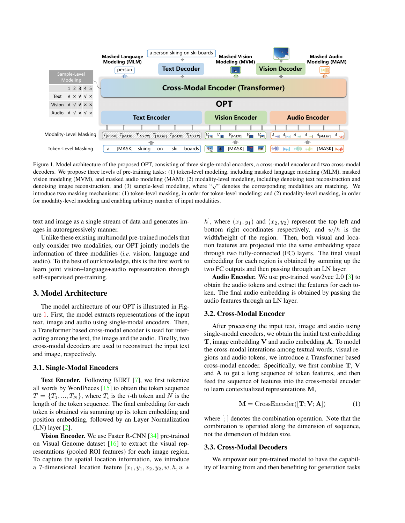<span id="page-2-2"></span>

<span id="page-2-0"></span>Figure 1. Model architecture of the proposed OPT, consisting of three single-modal encoders, a cross-modal encoder and two cross-modal decoders. We propose three levels of pre-training tasks: (1) token-level modeling, including masked language modeling (MLM), masked vision modeling (MVM), and masked audio modeling (MAM); (2) modality-level modeling, including denoising text reconstruction and denoising image reconstruction; and (3) sample-level modeling, where "<sup>√</sup> " denotes the corresponding modalities are matching. We introduce two masking mechanisms: (1) token-level masking, in order for token-level modeling; and (2) modality-level masking, in order for modality-level modeling and enabling arbitrary number of input modalities.

text and image as a single stream of data and generates images in autoregressively manner.

Unlike these existing multimodal pre-trained models that only consider two modalities, our OPT jointly models the information of three modalities (*i.e*. vision, language and audio). To the best of our knowledge, this is the first work to learn joint vision+language+audio representation through self-supervised pre-training.

# 3. Model Architecture

The model architecture of our OPT is illustrated in Figure [1.](#page-2-0) First, the model extracts representations of the input text, image and audio using single-modal encoders. Then, a Transformer based cross-modal encoder is used for interacting among the text, the image and the audio. Finally, two cross-modal decoders are used to reconstruct the input text and image, respectively.

#### 3.1. Single-Modal Encoders

Text Encoder. Following BERT [\[7\]](#page-8-7), we first tokenize all words by WordPieces [\[15\]](#page-8-20) to obtain the token sequence  $T = \{T_1, ..., T_N\}$ , where  $T_i$  is the *i*-th token and N is the length of the token sequence. The final embedding for each token is obtained via summing up its token embedding and position embedding, followed by an Layer Normalization (LN) layer [\[2\]](#page-8-21).

Vision Encoder. We use Faster R-CNN [\[34\]](#page-9-19) pre-trained on Visual Genome dataset [\[16\]](#page-8-22) to extract the visual representations (pooled ROI features) for each image region. To capture the spatial location information, we introduce a 7-dimensional location feature  $[x_1, y_1, x_2, y_2, w, h, w$ 

h], where  $(x_1, y_1)$  and  $(x_2, y_2)$  represent the top left and bottom right coordinates respectively, and  $w/h$  is the width/height of the region. Then, both visual and location features are projected into the same embedding space through two fully-connected (FC) layers. The final visual embedding for each region is obtained by summing up the two FC outputs and then passing through an LN layer.

Audio Encoder. We use pre-trained wav2vec 2.0 [\[3\]](#page-8-23) to obtain the audio tokens and extract the features for each token. The final audio embedding is obtained by passing the audio features through an LN layer.

#### 3.2. Cross-Modal Encoder

After processing the input text, image and audio using single-modal encoders, we obtain the initial text embedding T, image embedding V and audio embedding A. To model the cross-modal interations among textual words, visual regions and audio tokens, we introduce a Transformer based cross-modal encoder. Specifically, we first combine T, V and A to get a long sequence of token features, and then feed the sequence of features into the cross-modal encoder to learn contextualized representations M,

$$
\mathbf{M} = \text{CrossEncoder}([\mathbf{T}; \mathbf{V}; \mathbf{A}]) \tag{1}
$$

where [; ] denotes the combination operation. Note that the combination is operated along the dimension of sequence, not the dimension of hidden size.

#### <span id="page-2-1"></span>3.3. Cross-Modal Decoders

We empower our pre-trained model to have the capability of learning from and then benefiting for generation tasks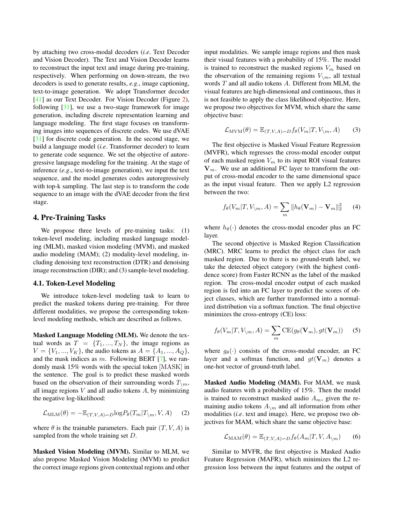<span id="page-3-0"></span>by attaching two cross-modal decoders (*i.e*. Text Decoder and Vision Decoder). The Text and Vision Decoder learns to reconstruct the input text and image during pre-training, respectively. When performing on down-stream, the two decoders is used to generate results, *e.g*., image captioning, text-to-image generation. We adopt Transformer decoder [\[41\]](#page-9-11) as our Text Decoder. For Vision Decoder (Figure [2\)](#page-4-0), following  $[31]$ , we use a two-stage framework for image generation, including discrete representation learning and language modeling. The first stage focuses on transforming images into sequences of discrete codes. We use dVAE [\[31\]](#page-9-8) for discrete code generation. In the second stage, we build a language model (*i.e*. Transformer decoder) to learn to generate code sequence. We set the objective of autoregressive language modeling for the training. At the stage of inference (*e.g*., text-to-image generation), we input the text sequence, and the model generates codes autoregressively with top-k sampling. The last step is to transform the code sequence to an image with the dVAE decoder from the first stage.

# 4. Pre-Training Tasks

We propose three levels of pre-training tasks: (1) token-level modeling, including masked language modeling (MLM), masked vision modeling (MVM), and masked audio modeling (MAM); (2) modality-level modeling, including denoising text reconstruction (DTR) and denoising image reconstruction (DIR); and (3) sample-level modeling.

#### 4.1. Token-Level Modeling

We introduce token-level modeling task to learn to predict the masked tokens during pre-training. For three different modalities, we propose the corresponding tokenlevel modeling methods, which are described as follows.

Masked Language Modeling (MLM). We denote the textual words as  $T = \{T_1, ..., T_N\}$ , the image regions as  $V = \{V_1, ..., V_K\}$ , the audio tokens as  $A = \{A_1, ..., A_Q\}$ , and the mask indices as  $m$ . Following BERT [\[7\]](#page-8-7), we randomly mask 15% words with the special token [MASK] in the sentence. The goal is to predict these masked words based on the observation of their surrounding words  $T\mathcal{L}_m$ , all image regions  $V$  and all audio tokens  $A$ , by minimizing the negative log-likelihood:

$$
\mathcal{L}_{\text{MLM}}(\theta) = -\mathbb{E}_{(T,V,A)\sim D} \log P_{\theta}(T_m | T_{\setminus m}, V, A)
$$
 (2)

where  $\theta$  is the trainable parameters. Each pair  $(T, V, A)$  is sampled from the whole training set D.

Masked Vision Modeling (MVM). Similar to MLM, we also propose Masked Vision Modeling (MVM) to predict the correct image regions given contextual regions and other input modalities. We sample image regions and then mask their visual features with a probability of 15%. The model is trained to reconstruct the masked regions  $V_m$  based on the observation of the remaining regions  $V_{\backslash m}$ , all textual words T and all audio tokens A. Different from MLM, the visual features are high-dimensional and continuous, thus it is not feasible to apply the class likelihood objective. Here, we propose two objectives for MVM, which share the same objective base:

$$
\mathcal{L}_{\text{MVM}}(\theta) = \mathbb{E}_{(T,V,A)\sim D} f_{\theta}(V_m | T, V_{\setminus m}, A)
$$
 (3)

The first objective is Masked Visual Feature Regression (MVFR), which regresses the cross-modal encoder output of each masked region  $V_m$  to its input ROI visual features  $V_m$ . We use an additional FC layer to transform the output of cross-modal encoder to the same dimensional space as the input visual feature. Then we apply L2 regression between the two:

$$
f_{\theta}(V_m|T, V_{\backslash m}, A) = \sum_m ||h_{\theta}(\mathbf{V}_m) - \mathbf{V}_m||_2^2 \qquad (4)
$$

where  $h_{\theta}(\cdot)$  denotes the cross-modal encoder plus an FC layer.

The second objective is Masked Region Classification (MRC). MRC learns to predict the object class for each masked region. Due to there is no ground-truth label, we take the detected object category (with the highest confidence score) from Faster RCNN as the label of the masked region. The cross-modal encoder output of each masked region is fed into an FC layer to predict the scores of object classes, which are further transformed into a normalized distribution via a softmax function. The final objective minimizes the cross-entropy (CE) loss:

$$
f_{\theta}(V_m|T, V_{\setminus m}, A) = \sum_m \text{CE}(g_{\theta}(\mathbf{V}_m), gt(\mathbf{V}_m))
$$
 (5)

where  $g_{\theta}(\cdot)$  consists of the cross-modal encoder, an FC layer and a softmax function, and  $gt(\mathbf{V}_m)$  denotes a one-hot vector of ground-truth label.

Masked Audio Modeling (MAM). For MAM, we mask audio features with a probability of 15%. Then the model is trained to reconstruct masked audio  $A_m$ , given the remaining audio tokens  $A_{\backslash m}$  and all information from other modalities (*i.e*. text and image). Here, we propose two objectives for MAM, which share the same objective base:

$$
\mathcal{L}_{\text{MAM}}(\theta) = \mathbb{E}_{(T,V,A)\sim D} f_{\theta}(A_m | T, V, A_{\backslash m}) \tag{6}
$$

Similar to MVFR, the first objective is Masked Audio Feature Regression (MAFR), which minimizes the L2 regression loss between the input features and the output of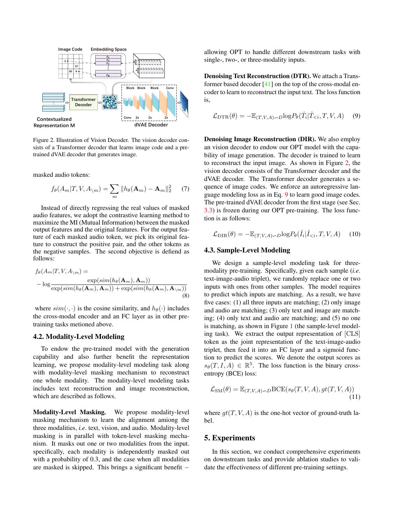<span id="page-4-2"></span>

<span id="page-4-0"></span>Figure 2. Illustration of Vision Decoder. The vision decoder consists of a Transformer decoder that learns image code and a pretrained dVAE decoder that generates image.

masked audio tokens:

$$
f_{\theta}(A_m|T, V, A_{\setminus m}) = \sum_m ||h_{\theta}(\mathbf{A}_m) - \mathbf{A}_m||_2^2 \qquad (7)
$$

Instead of directly regressing the real values of masked audio features, we adopt the contrastive learning method to maximize the MI (Mutual Information) between the masked output features and the original features. For the output feature of each masked audio token, we pick its original feature to construct the positive pair, and the other tokens as the negative samples. The second objective is defiend as follows:

$$
f_{\theta}(A_m|T, V, A_{\setminus m}) = \frac{\exp(\text{sim}(h_{\theta}(\mathbf{A}_m), \mathbf{A}_m))}{\exp(\text{sim}(h_{\theta}(\mathbf{A}_m), \mathbf{A}_m)) + \exp(\text{sim}(h_{\theta}(\mathbf{A}_m), \mathbf{A}_{\setminus m}))}
$$
\n(8)

where  $sim(\cdot, \cdot)$  is the cosine similarity, and  $h_{\theta}(\cdot)$  includes the cross-modal encoder and an FC layer as in other pretraining tasks metioned above.

### 4.2. Modality-Level Modeling

To endow the pre-trained model with the generation capability and also further benefit the representation learning, we propose modality-level modeling task along with modality-level masking mechanism to reconstruct one whole modality. The modality-level modeling tasks includes text reconstruction and image reconstruction, which are described as follows.

Modality-Level Masking. We propose modality-level masking mechanism to learn the alignment amiong the three modalities, *i.e*. text, vision, and audio. Modality-level masking is in parallel with token-level masking mechanism. It masks out one or two modalities from the input. specifically, each modality is independently masked out with a probability of 0.3, and the case when all modalities are masked is skipped. This brings a significant benefit −

allowing OPT to handle different downstream tasks with single-, two-, or three-modality inputs.

Denoising Text Reconstruction (DTR). We attach a Transformer based decoder [\[41\]](#page-9-11) on the top of the cross-modal encoder to learn to reconstruct the input text. The loss function is,

<span id="page-4-1"></span>
$$
\mathcal{L}_{\text{DTR}}(\theta) = -\mathbb{E}_{(T,V,A)\sim D} \log P_{\theta}(\hat{T}_i | \hat{T}_{(9)
$$

Denoising Image Reconstruction (DIR). We also employ an vision decoder to endow our OPT model with the capability of image generation. The decoder is trained to learn to reconstruct the input image. As shown in Figure [2,](#page-4-0) the vision decoder consists of the Transformer decoder and the dVAE decoder. The Transformer decoder generates a sequence of image codes. We enforce an autoregressive language modeling loss as in Eq. [9](#page-4-1) to learn good image codes. The pre-trained dVAE decoder from the first stage (see Sec. [3.3\)](#page-2-1) is frozen during our OPT pre-training. The loss function is as follows:

$$
\mathcal{L}_{\text{DIR}}(\theta) = -\mathbb{E}_{(T,V,A)\sim D} \log P_{\theta}(\hat{I}_i | \hat{I}_{(10)
$$

#### 4.3. Sample-Level Modeling

We design a sample-level modeling task for threemodality pre-training. Specifically, given each sample (*i.e*. text-image-audio triplet), we randomly replace one or two inputs with ones from other samples. The model requires to predict which inputs are matching. As a result, we have five cases: (1) all three inputs are matching; (2) only image and audio are matching; (3) only text and image are matching; (4) only text and audio are matching; and (5) no one is matching, as shown in Figure [1](#page-2-0) (the sample-level modeling task). We extract the output representation of [CLS] token as the joint representation of the text-image-audio triplet, then feed it into an FC layer and a sigmoid function to predict the scores. We denote the output scores as  $s_{\theta}(T, I, A) \in \mathbb{R}^5$ . The loss function is the binary crossentropy (BCE) loss:

$$
\mathcal{L}_{\text{SM}}(\theta) = \mathbb{E}_{(T,V,A)\sim D} \text{BCE}(s_{\theta}(T,V,A), gt(T,V,A))
$$
\n(11)

where  $qt(T, V, A)$  is the one-hot vector of ground-truth label.

### 5. Experiments

In this section, we conduct comprehensive experiments on downstream tasks and provide ablation studies to validate the effectiveness of different pre-training settings.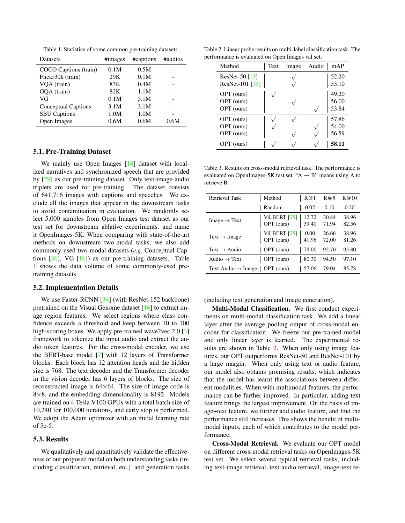<span id="page-5-0"></span>Table 1. Statistics of some common pre-training datasets.

<span id="page-5-2"></span>

| <b>Datasets</b>            | #images | #captions | #audios |
|----------------------------|---------|-----------|---------|
| COCO Captions (train)      | 0.1M    | 0.5M      |         |
| Flickr30k (train)          | 29K     | 0.1M      |         |
| VQA (train)                | 83K     | 0.4M      |         |
| GQA (train)                | 82K     | 1.1M      |         |
| VG                         | 0.1M    | 5.1M      |         |
| <b>Conceptual Captions</b> | 3.1M    | 3.1M      |         |
| <b>SBU Captions</b>        | 1.0M    | 1.0M      |         |
| Open Images                | 0.6M    | 0.6M      | 0.6M    |

### 5.1. Pre-Training Dataset

We mainly use Open Images [\[18\]](#page-8-24) dataset with localized narratives and synchronized speech that are provided by [\[29\]](#page-9-20) as our pre-training dataset. Only text-image-audio triplets are used for pre-training. The dataset consists of 641,716 images with captions and speeches. We exclude all the images that appear in the downstream tasks to avoid contamination in evaluation. We randomly select 5,000 samples from Open Images test dataset as our test set for downstream ablative experiments, and name it OpenImages-5K. When comparing with state-of-the-art methods on downstream two-modal tasks, we also add commonly-used two-modal datasets (*e.g*. Conceptual Captions [\[36\]](#page-9-21), VG [\[16\]](#page-8-22)) as our pre-training datasets. Table [1](#page-5-0) shows the data volume of some commonly-used pretraining datasets.

#### 5.2. Implementation Details

We use Faster-RCNN [\[34\]](#page-9-19) (with ResNet-152 backbone) pretrained on the Visual Genome dataset [\[16\]](#page-8-22) to extract image region features. We select regions where class confidence exceeds a threshold and keep between 10 to 100 high-scoring boxes. We apply pre-trained wave2vec 2.0 [\[3\]](#page-8-23) framework to tokenize the input audio and extract the audio token features. For the cross-modal encoder, we use the BERT-base model [\[7\]](#page-8-7) with 12 layers of Transformer blocks. Each block has 12 attention heads and the hidden size is 768. The text decoder and the Transformer decoder in the vision decoder has 6 layers of blocks. The size of reconstructed image is  $64\times64$ . The size of image code is  $8\times 8$ , and the embedding dimensionality is 8192. Models are trained on 4 Tesla V100 GPUs with a total batch size of 10,240 for 100,000 iterations, and early stop is performed. We adopt the Adam optimizer with an initial learning rate of 5e-5.

# 5.3. Results

We qualitatively and quantitatively validate the effectiveness of our proposed model on both understanding tasks (including classification, retrieval, etc.) and generation tasks

Table 2. Linear probe results on multi-label classification task. The performance is evaluated on Open Images val set.

<span id="page-5-1"></span>

| Method                            | Text | Image | Audio | mAP            |
|-----------------------------------|------|-------|-------|----------------|
| ResNet-50 [13]<br>ResNet-101 [13] |      |       |       | 52.20<br>53.10 |
| OPT (ours)<br>OPT (ours)          |      |       |       | 49.20<br>56.00 |
| OPT (ours)<br>OPT (ours)          |      |       |       | 53.84<br>57.86 |
| OPT (ours)<br>OPT (ours)          |      |       |       | 54.00<br>56.59 |
| OPT (ours)                        |      |       |       | 58.11          |

Table 3. Results on cross-modal retrieval task. The performance is evaluated on OpenImages-5K test set. " $A \rightarrow B$ " means using A to retrieve B.

| <b>Retrieval Task</b>          | Method                            | R@1            | R@5            | R@10           |
|--------------------------------|-----------------------------------|----------------|----------------|----------------|
|                                | Random                            | 0.02           | 0.10           | 0.20           |
| Image $\rightarrow$ Text       | ViLBERT [25]<br>OPT (ours)        | 12.72<br>39.40 | 30.84<br>71.94 | 38.96<br>82.56 |
| Text $\rightarrow$ Image       | <b>ViLBERT</b> [25]<br>OPT (ours) | 0.00<br>41.96  | 26.66<br>72.00 | 38.96<br>81.26 |
| Text $\rightarrow$ Audio       | OPT (ours)                        | 78.00          | 92.70          | 95.80          |
| Audio $\rightarrow$ Text       | OPT (ours)                        | 80.30          | 94.50          | 97.10          |
| Text-Audio $\rightarrow$ Image | OPT (ours)                        | 57.06          | 79.04          | 85.78          |

(including text generation and image generation).

Multi-Modal Classification. We first conduct experiments on multi-modal classification task. We add a linear layer after the average pooling output of cross-modal encoder for classification. We freeze our pre-trained model and only linear layer is learned. The experimental re-sults are shown in Table [2.](#page-5-1) When only using image features, our OPT outperforms ResNet-50 and ResNet-101 by a large margin. When only using text or audio feature, our model also obtains promising results, which indicates that the model has learnt the associations between different modalities. When with multimodal features, the performance can be further improved. In particular, adding text feature brings the largest improvement. On the basis of image+text feature, we further add audio feature, and find the performance still increases. This shows the benefit of multimodal inputs, each of which contributes to the model performance.

Cross-Modal Retrieval. We evaluate our OPT model on different cross-modal retrieval tasks on OpenImages-5K test set. We select several typical retrieval tasks, including text-image retrieval, text-audio retrieval, image-text re-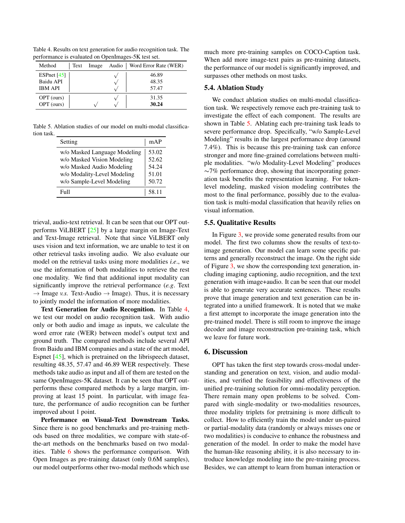<span id="page-6-2"></span><span id="page-6-0"></span>Table 4. Results on text generation for audio recognition task. The performance is evaluated on OpenImages-5K test set.

| Method         | Text | Image | Audio   Word Error Rate (WER) |
|----------------|------|-------|-------------------------------|
| ESPnet $[45]$  |      |       | 46.89                         |
| Baidu API      |      |       | 48.35                         |
| <b>IBM API</b> |      |       | 57.47                         |
| OPT (ours)     |      |       | 31.35                         |
| OPT (ours)     |      |       | 30.24                         |

Table 5. Ablation studies of our model on multi-modal classification task.

<span id="page-6-1"></span>

| Setting                      | mAP   |
|------------------------------|-------|
| w/o Masked Language Modeling | 53.02 |
| w/o Masked Vision Modeling   | 52.62 |
| w/o Masked Audio Modeling    | 54.24 |
| w/o Modality-Level Modeling  | 51.01 |
| w/o Sample-Level Modeling    | 50.72 |
| Full                         | 58.11 |

trieval, audio-text retrieval. It can be seen that our OPT outperforms ViLBERT [\[25\]](#page-8-9) by a large margin on Image-Text and Text-Image retrieval. Note that since ViLBERT only uses vision and text information, we are unable to test it on other retrieval tasks involing audio. We also evaluate our model on the retrieval tasks using more modalities *i.e*., we use the information of both modalities to retrieve the rest one modality. We find that additional input modality can significantly improve the retrieval performance (*e.g*. Text  $\rightarrow$  Image *v.s.* Text-Audio  $\rightarrow$  Image). Thus, it is necessary to jointly model the information of more modalities.

Text Generation for Audio Recognition. In Table [4,](#page-6-0) we test our model on audio recognition task. With audio only or both audio and image as inputs, we calculate the word error rate (WER) between model's output text and ground truth. The compared methods include several API from Baidu and IBM companies and a state of the art model, Espnet [\[45\]](#page-9-22), which is pretrained on the librispeech dataset, resulting 48.35, 57.47 and 46.89 WER respectively. These methods take audio as input and all of them are tested on the same OpenImages-5K dataset. It can be seen that OPT outperforms these compared methods by a large margin, improving at least 15 point. In particular, with image feature, the performance of audio recognition can be further improved about 1 point.

Performance on Visual-Text Downstream Tasks. Since there is no good benchmarks and pre-training methods based on three modalities, we compare with state-ofthe-art methods on the benchmarks based on two modalities. Table [6](#page-7-0) shows the performance comparison. With Open Images as pre-training dataset (only 0.6M samples), our model outperforms other two-modal methods which use much more pre-training samples on COCO-Caption task. When add more image-text pairs as pre-training datasets, the performance of our model is significantly improved, and surpasses other methods on most tasks.

#### 5.4. Ablation Study

We conduct ablation studies on multi-modal classification task. We respectively remove each pre-training task to investigate the effect of each component. The results are shown in Table [5.](#page-6-1) Ablating each pre-training task leads to severe performance drop. Specifically, "w/o Sample-Level Modeling" results in the largest performance drop (around 7.4%). This is because this pre-training task can enforce stronger and more fine-grained correlations between multiple modalities. "w/o Modality-Level Modeling" produces ∼7% performance drop, showing that incorporating generation task benefits the representation learning. For tokenlevel modeling, masked vision modeling contributes the most to the final performance, possibly due to the evaluation task is multi-modal classification that heavily relies on visual information.

#### 5.5. Qualitative Results

In Figure [3,](#page-7-1) we provide some generated results from our model. The first two columns show the results of text-toimage generation. Our model can learn some specific patterns and generally reconstruct the image. On the right side of Figure [3,](#page-7-1) we show the corresponding text generation, including imaging captioning, audio recognition, and the text generation with image+audio. It can be seen that our model is able to generate very accurate sentences. These results prove that image generation and text generation can be integrated into a unified framework. It is noted that we make a first attempt to incorporate the image generation into the pre-trained model. There is still room to improve the image decoder and image reconstruction pre-training task, which we leave for future work.

### 6. Discussion

OPT has taken the first step towards cross-modal understanding and generation on text, vision, and audio modalities, and verified the feasibility and effectiveness of the unified pre-training solution for omni-modality perception. There remain many open problems to be solved. Compared with single-modality or two-modalities resources, three modality triplets for pretraining is more difficult to collect. How to efficiently train the model under un-paired or partial-modality data (randomly or always misses one or two modalities) is conducive to enhance the robustness and generation of the model. In order to make the model have the human-like reasoning ability, it is also necessary to introduce knowledge modeling into the pre-training process. Besides, we can attempt to learn from human interaction or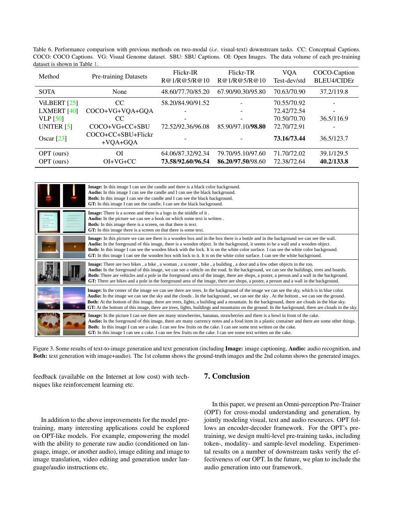<span id="page-7-2"></span><span id="page-7-0"></span>Table 6. Performance comparison with previous methods on two-modal (*i.e*. visual-text) downstream tasks. CC: Conceptual Captions. COCO: COCO Captions. VG: Visual Genome dataset. SBU: SBU Captions. OI: Open Images. The data volume of each pre-training dataset is shown in Table [1.](#page-5-0)

| Method               | <b>Pre-training Datasets</b>     | Flickr-IR<br>R@1/R@5/R@10 | Flickr-TR<br>R@1/R@5/R@10 | <b>VQA</b><br>Test-dev/std | COCO-Caption<br>BLEU4/CIDEr |
|----------------------|----------------------------------|---------------------------|---------------------------|----------------------------|-----------------------------|
| <b>SOTA</b>          | None                             | 48.60/77.70/85.20         | 67.90/90.30/95.80         | 70.63/70.90                | 37.2/119.8                  |
| ViLBERT $[25]$       | <sub>CC</sub>                    | 58.20/84.90/91.52         |                           | 70.55/70.92                |                             |
| <b>LXMERT</b> $[40]$ | COCO+VG+VQA+GQA                  |                           | -                         | 72.42/72.54                |                             |
| VLP $[50]$           | CC                               | -                         | ۰                         | 70.50/70.70                | 36.5/116.9                  |
| UNITER $[5]$         | COCO+VG+CC+SBU                   | 72.52/92.36/96.08         | 85.90/97.10/98.80         | 72.70/72.91                |                             |
| Oscar $[23]$         | COCO+CC+SBU+Flickr<br>$+VOA+GOA$ |                           |                           | 73.16/73.44                | 36.5/123.7                  |
| OPT (ours)           | ΟI                               | 64.06/87.32/92.34         | 79.70/95.10/97.60         | 71.70/72.02                | 39.1/129.5                  |
| OPT (ours)           | $OI+VG+CC$                       | 73.58/92.60/96.54         | 86.20/97.50/98.60         | 72.38/72.64                | 40.2/133.8                  |

| <b>Image:</b> In this image I can see the candle and there is a black color background.<br>Audio: In this image I can see the candle and I can see the black background.<br><b>Both:</b> In this image I can see the candle and I can see the black background.<br>GT: In this image I can see the candle. I can see the black background.                                                                                                                                                                                                                                          |
|-------------------------------------------------------------------------------------------------------------------------------------------------------------------------------------------------------------------------------------------------------------------------------------------------------------------------------------------------------------------------------------------------------------------------------------------------------------------------------------------------------------------------------------------------------------------------------------|
| Image: There is a screen and there is a logo in the middle of it.<br>Audio: In the picture we can see a book on which some text is written.<br><b>Both:</b> In this image there is a screen, on that there is text.<br>GT: In this image there is a screen on that there is some text.                                                                                                                                                                                                                                                                                              |
| Image: In this picture we can see there is a wooden box and in the box there is a bottle and in the background we can see the wall.<br><b>Audio:</b> In the foreground of this image, there is a wooden object. In the background, it seems to be a wall and a wooden object.<br><b>Both:</b> In this image I can see the wooden block with the lock. It is on the white color surface. I can see the white color background.<br>GT: In this image I can see the wooden box with lock to it. It is on the white color surface. I can see the white background.                      |
| Image: There are two bikes, a bike, a woman, a scooter, bike, a building, a door and a few other objects in the roo.<br>Audio: In the foreground of this image, we can see a vehicle on the road. In the background, we can see the buildings, trees and boards.<br><b>Both:</b> There are vehicles and a pole in the foreground area of the image, there are shops, a poster, a person and a wall in the background.<br>GT: There are bikes and a pole in the foreground area of the image, there are shops, a poster, a person and a wall in the background.                      |
| Image: In the center of the image we can see there are trees. In the background of the image we can see the sky, which is in blue color.<br>Audio: In the image we can see the sky and the clouds . In the background, we can see the sky. At the bottom, we can see the ground.<br>Both: At the bottom of this image, there are trees, lights, a building and a mountain. In the background, there are clouds in the blue sky.<br>GT: At the bottom of this image, there are trees, lights, buildings and mountains on the ground. In the background, there are clouds in the sky. |
| <b>Image:</b> In the picture I can see there are many strawberries, bananas, strawberries and there is a bowl in front of the cake.<br>Audio: In the foreground of this image, there are many currency notes and a food item in a plastic container and there are some other things.<br>Both: In this image I can see a cake. I can see few fruits on the cake. I can see some text written on the cake.<br>GT: In this image I can see a cake. I can see few fruits on the cake. I can see some text written on the cake.                                                          |

<span id="page-7-1"></span>Figure 3. Some results of text-to-image generation and text generation (including Image: image captioning, Audio: audio recognition, and Both: text generation with image+audio). The 1st column shows the ground-truth images and the 2nd column shows the generated images.

feedback (available on the Internet at low cost) with techniques like reinforcement learning etc.

In addition to the above improvements for the model pretraining, many interesting applications could be explored on OPT-like models. For example, empowering the model with the ability to generate raw audio (conditioned on language, image, or another audio), image editing and image to image translation, video editing and generation under language/audio instructions etc.

# 7. Conclusion

In this paper, we present an Omni-perception Pre-Trainer (OPT) for cross-modal understanding and generation, by jointly modeling visual, text and audio resources. OPT follows an encoder-decoder framework. For the OPT's pretraining, we design multi-level pre-training tasks, including token-, modality- and sample-level modeling. Experimental results on a number of downstream tasks verify the effectiveness of our OPT. In the future, we plan to include the audio generation into our framework.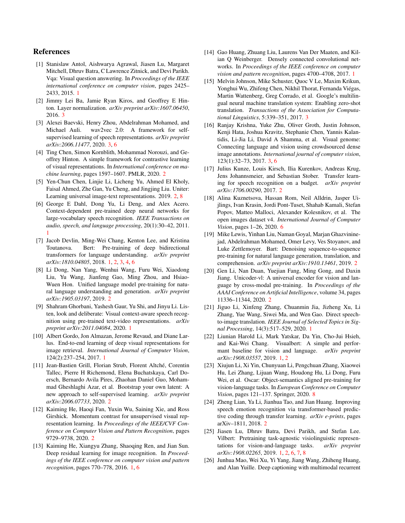# References

- <span id="page-8-2"></span>[1] Stanislaw Antol, Aishwarya Agrawal, Jiasen Lu, Margaret Mitchell, Dhruv Batra, C Lawrence Zitnick, and Devi Parikh. Vqa: Visual question answering. In *Proceedings of the IEEE international conference on computer vision*, pages 2425– 2433, 2015. [1](#page-0-1)
- <span id="page-8-21"></span>[2] Jimmy Lei Ba, Jamie Ryan Kiros, and Geoffrey E Hinton. Layer normalization. *arXiv preprint arXiv:1607.06450*, 2016. [3](#page-2-2)
- <span id="page-8-23"></span>[3] Alexei Baevski, Henry Zhou, Abdelrahman Mohamed, and Michael Auli. wav2vec 2.0: A framework for selfsupervised learning of speech representations. *arXiv preprint arXiv:2006.11477*, 2020. [3,](#page-2-2) [6](#page-5-2)
- <span id="page-8-13"></span>[4] Ting Chen, Simon Kornblith, Mohammad Norouzi, and Geoffrey Hinton. A simple framework for contrastive learning of visual representations. In *International conference on machine learning*, pages 1597–1607. PMLR, 2020. [2](#page-1-0)
- <span id="page-8-18"></span>[5] Yen-Chun Chen, Linjie Li, Licheng Yu, Ahmed El Kholy, Faisal Ahmed, Zhe Gan, Yu Cheng, and Jingjing Liu. Uniter: Learning universal image-text representations. 2019. [2,](#page-1-0) [8](#page-7-2)
- <span id="page-8-8"></span>[6] George E Dahl, Dong Yu, Li Deng, and Alex Acero. Context-dependent pre-trained deep neural networks for large-vocabulary speech recognition. *IEEE Transactions on audio, speech, and language processing*, 20(1):30–42, 2011. [1](#page-0-1)
- <span id="page-8-7"></span>[7] Jacob Devlin, Ming-Wei Chang, Kenton Lee, and Kristina Toutanova. Bert: Pre-training of deep bidirectional transformers for language understanding. *arXiv preprint arXiv:1810.04805*, 2018. [1,](#page-0-1) [2,](#page-1-0) [3,](#page-2-2) [4,](#page-3-0) [6](#page-5-2)
- <span id="page-8-11"></span>[8] Li Dong, Nan Yang, Wenhui Wang, Furu Wei, Xiaodong Liu, Yu Wang, Jianfeng Gao, Ming Zhou, and Hsiao-Wuen Hon. Unified language model pre-training for natural language understanding and generation. *arXiv preprint arXiv:1905.03197*, 2019. [2](#page-1-0)
- <span id="page-8-1"></span>[9] Shahram Ghorbani, Yashesh Gaur, Yu Shi, and Jinyu Li. Listen, look and deliberate: Visual context-aware speech recognition using pre-trained text-video representations. *arXiv preprint arXiv:2011.04084*, 2020. [1](#page-0-1)
- <span id="page-8-0"></span>[10] Albert Gordo, Jon Almazan, Jerome Revaud, and Diane Larlus. End-to-end learning of deep visual representations for image retrieval. *International Journal of Computer Vision*, 124(2):237–254, 2017. [1](#page-0-1)
- <span id="page-8-15"></span>[11] Jean-Bastien Grill, Florian Strub, Florent Altché, Corentin Tallec, Pierre H Richemond, Elena Buchatskaya, Carl Doersch, Bernardo Avila Pires, Zhaohan Daniel Guo, Mohammad Gheshlaghi Azar, et al. Bootstrap your own latent: A new approach to self-supervised learning. *arXiv preprint arXiv:2006.07733*, 2020. [2](#page-1-0)
- <span id="page-8-14"></span>[12] Kaiming He, Haoqi Fan, Yuxin Wu, Saining Xie, and Ross Girshick. Momentum contrast for unsupervised visual representation learning. In *Proceedings of the IEEE/CVF Conference on Computer Vision and Pattern Recognition*, pages 9729–9738, 2020. [2](#page-1-0)
- <span id="page-8-5"></span>[13] Kaiming He, Xiangyu Zhang, Shaoqing Ren, and Jian Sun. Deep residual learning for image recognition. In *Proceedings of the IEEE conference on computer vision and pattern recognition*, pages 770–778, 2016. [1,](#page-0-1) [6](#page-5-2)
- <span id="page-8-6"></span>[14] Gao Huang, Zhuang Liu, Laurens Van Der Maaten, and Kilian Q Weinberger. Densely connected convolutional networks. In *Proceedings of the IEEE conference on computer vision and pattern recognition*, pages 4700–4708, 2017. [1](#page-0-1)
- <span id="page-8-20"></span>[15] Melvin Johnson, Mike Schuster, Quoc V Le, Maxim Krikun, Yonghui Wu, Zhifeng Chen, Nikhil Thorat, Fernanda Viegas, ´ Martin Wattenberg, Greg Corrado, et al. Google's multilingual neural machine translation system: Enabling zero-shot translation. *Transactions of the Association for Computational Linguistics*, 5:339–351, 2017. [3](#page-2-2)
- <span id="page-8-22"></span>[16] Ranjay Krishna, Yuke Zhu, Oliver Groth, Justin Johnson, Kenji Hata, Joshua Kravitz, Stephanie Chen, Yannis Kalantidis, Li-Jia Li, David A Shamma, et al. Visual genome: Connecting language and vision using crowdsourced dense image annotations. *International journal of computer vision*, 123(1):32–73, 2017. [3,](#page-2-2) [6](#page-5-2)
- <span id="page-8-17"></span>[17] Julius Kunze, Louis Kirsch, Ilia Kurenkov, Andreas Krug, Jens Johannsmeier, and Sebastian Stober. Transfer learning for speech recognition on a budget. *arXiv preprint arXiv:1706.00290*, 2017. [2](#page-1-0)
- <span id="page-8-24"></span>[18] Alina Kuznetsova, Hassan Rom, Neil Alldrin, Jasper Uijlings, Ivan Krasin, Jordi Pont-Tuset, Shahab Kamali, Stefan Popov, Matteo Malloci, Alexander Kolesnikov, et al. The open images dataset v4. *International Journal of Computer Vision*, pages 1–26, 2020. [6](#page-5-2)
- <span id="page-8-12"></span>[19] Mike Lewis, Yinhan Liu, Naman Goyal, Marjan Ghazvininejad, Abdelrahman Mohamed, Omer Levy, Ves Stoyanov, and Luke Zettlemoyer. Bart: Denoising sequence-to-sequence pre-training for natural language generation, translation, and comprehension. *arXiv preprint arXiv:1910.13461*, 2019. [2](#page-1-0)
- <span id="page-8-19"></span>[20] Gen Li, Nan Duan, Yuejian Fang, Ming Gong, and Daxin Jiang. Unicoder-vl: A universal encoder for vision and language by cross-modal pre-training. In *Proceedings of the AAAI Conference on Artificial Intelligence*, volume 34, pages 11336–11344, 2020. [2](#page-1-0)
- <span id="page-8-4"></span>[21] Jiguo Li, Xinfeng Zhang, Chuanmin Jia, Jizheng Xu, Li Zhang, Yue Wang, Siwei Ma, and Wen Gao. Direct speechto-image translation. *IEEE Journal of Selected Topics in Signal Processing*, 14(3):517–529, 2020. [1](#page-0-1)
- <span id="page-8-10"></span>[22] Liunian Harold Li, Mark Yatskar, Da Yin, Cho-Jui Hsieh, and Kai-Wei Chang. Visualbert: A simple and performant baseline for vision and language. *arXiv preprint arXiv:1908.03557*, 2019. [1,](#page-0-1) [2](#page-1-0)
- <span id="page-8-25"></span>[23] Xiujun Li, Xi Yin, Chunyuan Li, Pengchuan Zhang, Xiaowei Hu, Lei Zhang, Lijuan Wang, Houdong Hu, Li Dong, Furu Wei, et al. Oscar: Object-semantics aligned pre-training for vision-language tasks. In *European Conference on Computer Vision*, pages 121–137. Springer, 2020. [8](#page-7-2)
- <span id="page-8-16"></span>[24] Zheng Lian, Ya Li, Jianhua Tao, and Jian Huang. Improving speech emotion recognition via transformer-based predictive coding through transfer learning. *arXiv e-prints*, pages arXiv–1811, 2018. [2](#page-1-0)
- <span id="page-8-9"></span>[25] Jiasen Lu, Dhruv Batra, Devi Parikh, and Stefan Lee. Vilbert: Pretraining task-agnostic visiolinguistic representations for vision-and-language tasks. *arXiv preprint arXiv:1908.02265*, 2019. [1,](#page-0-1) [2,](#page-1-0) [6,](#page-5-2) [7,](#page-6-2) [8](#page-7-2)
- <span id="page-8-3"></span>[26] Junhua Mao, Wei Xu, Yi Yang, Jiang Wang, Zhiheng Huang, and Alan Yuille. Deep captioning with multimodal recurrent